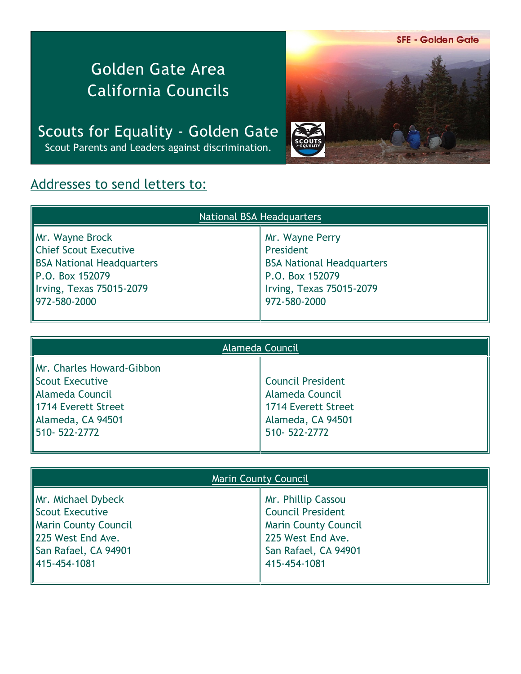**SFE - Golden Gate** 

## Golden Gate Area California Councils

Scouts for Equality - Golden Gate Scout Parents and Leaders against discrimination.



## Addresses to send letters to:

| <b>National BSA Headquarters</b>                                                                                     |                                                                                                                 |  |
|----------------------------------------------------------------------------------------------------------------------|-----------------------------------------------------------------------------------------------------------------|--|
| Mr. Wayne Brock<br>Chief Scout Executive<br>BSA National Headquarters<br>P.O. Box 152079<br>Irving, Texas 75015-2079 | Mr. Wayne Perry<br>President<br><b>BSA National Headquarters</b><br>P.O. Box 152079<br>Irving, Texas 75015-2079 |  |
| ∥972-580-2000                                                                                                        | 972-580-2000                                                                                                    |  |

| Alameda Council           |                     |  |
|---------------------------|---------------------|--|
| Mr. Charles Howard-Gibbon |                     |  |
| Scout Executive           | Council President   |  |
| ∥Alameda Council          | Alameda Council     |  |
| 1714 Everett Street       | 1714 Everett Street |  |
| Alameda, CA 94501         | Alameda, CA 94501   |  |
| 1510-522-2772             | 510-522-2772        |  |
|                           |                     |  |

| <b>Marin County Council</b> |                             |
|-----------------------------|-----------------------------|
| Mr. Michael Dybeck          | Mr. Phillip Cassou          |
| Scout Executive             | <b>Council President</b>    |
| Marin County Council        | <b>Marin County Council</b> |
| 225 West End Ave.           | 225 West End Ave.           |
| San Rafael, CA 94901        | San Rafael, CA 94901        |
| 415-454-1081                | 415-454-1081                |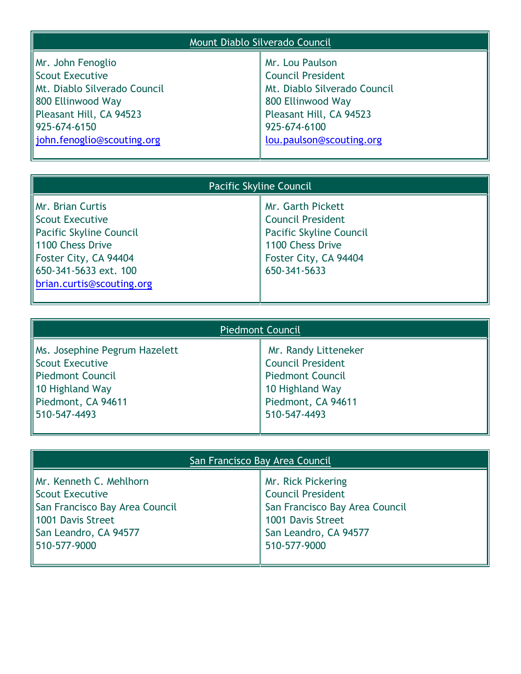| Mount Diablo Silverado Council                                                                                                                                       |                                                                                                                                                                         |  |
|----------------------------------------------------------------------------------------------------------------------------------------------------------------------|-------------------------------------------------------------------------------------------------------------------------------------------------------------------------|--|
| Mr. John Fenoglio<br>Scout Executive<br>Mt. Diablo Silverado Council<br>800 Ellinwood Way<br>Pleasant Hill, CA 94523<br>925-674-6150<br>  john.fenoglio@scouting.org | Mr. Lou Paulson<br><b>Council President</b><br>Mt. Diablo Silverado Council<br>800 Ellinwood Way<br>Pleasant Hill, CA 94523<br>925-674-6100<br>lou.paulson@scouting.org |  |

| Pacific Skyline Council                                                                                                                                           |                                                                                                                                              |
|-------------------------------------------------------------------------------------------------------------------------------------------------------------------|----------------------------------------------------------------------------------------------------------------------------------------------|
| Mr. Brian Curtis<br>Scout Executive<br>Pacific Skyline Council<br>1100 Chess Drive<br>Foster City, CA 94404<br>650-341-5633 ext. 100<br>brian.curtis@scouting.org | Mr. Garth Pickett<br><b>Council President</b><br><b>Pacific Skyline Council</b><br>1100 Chess Drive<br>Foster City, CA 94404<br>650-341-5633 |

| <b>Piedmont Council</b>                                                                                                       |                                                                                                                                      |
|-------------------------------------------------------------------------------------------------------------------------------|--------------------------------------------------------------------------------------------------------------------------------------|
| Ms. Josephine Pegrum Hazelett<br>Scout Executive<br>Piedmont Council<br>10 Highland Way<br>Piedmont, CA 94611<br>510-547-4493 | Mr. Randy Litteneker<br><b>Council President</b><br><b>Piedmont Council</b><br>10 Highland Way<br>Piedmont, CA 94611<br>510-547-4493 |

| San Francisco Bay Area Council |                                |  |
|--------------------------------|--------------------------------|--|
| Mr. Kenneth C. Mehlhorn        | Mr. Rick Pickering             |  |
| Scout Executive                | <b>Council President</b>       |  |
| San Francisco Bay Area Council | San Francisco Bay Area Council |  |
| 1001 Davis Street              | 1001 Davis Street              |  |
| San Leandro, CA 94577          | San Leandro, CA 94577          |  |
| 1510-577-9000                  | 510-577-9000                   |  |